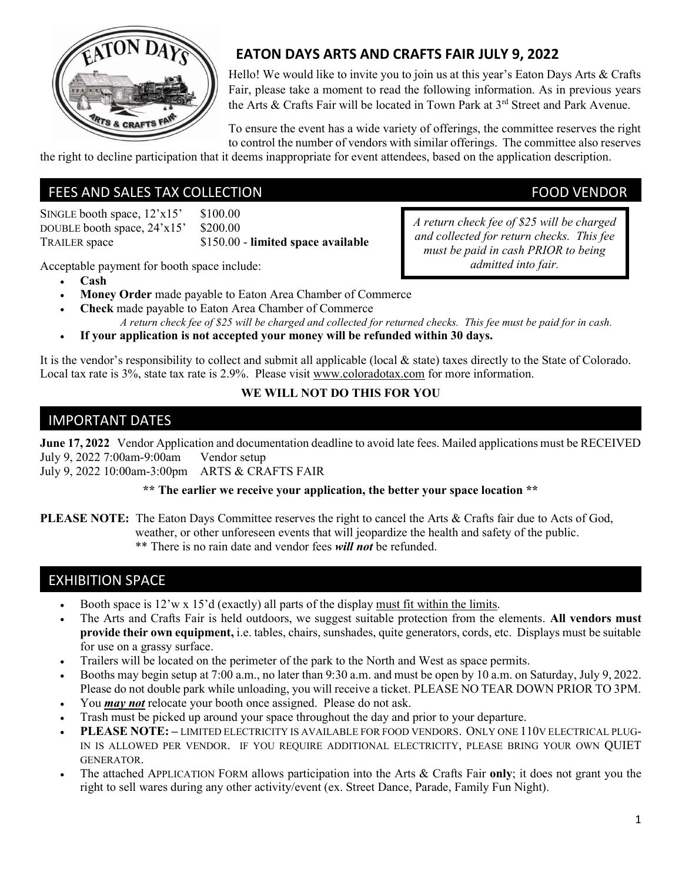

# EATON DAYS ARTS AND CRAFTS FAIR JULY 9, 2022

Hello! We would like to invite you to join us at this year's Eaton Days Arts & Crafts Fair, please take a moment to read the following information. As in previous years the Arts & Crafts Fair will be located in Town Park at 3<sup>rd</sup> Street and Park Avenue.

To ensure the event has a wide variety of offerings, the committee reserves the right to control the number of vendors with similar offerings. The committee also reserves

the right to decline participation that it deems inappropriate for event attendees, based on the application description.

## FEES AND SALES TAX COLLECTION FEES AND SALES TAX COLLECTION

SINGLE booth space,  $12'x15'$  \$100.00 DOUBLE booth space,  $24 \times 15'$  \$200.00 TRAILER space \$150.00 - limited space available

Acceptable payment for booth space include:

- Cash
- Money Order made payable to Eaton Area Chamber of Commerce
- Check made payable to Eaton Area Chamber of Commerce

A return check fee of \$25 will be charged and collected for returned checks. This fee must be paid for in cash.

If your application is not accepted your money will be refunded within 30 days.

It is the vendor's responsibility to collect and submit all applicable (local & state) taxes directly to the State of Colorado. Local tax rate is 3%, state tax rate is 2.9%. Please visit www.coloradotax.com for more information.

### WE WILL NOT DO THIS FOR YOU

## IMPORTANT DATES

June 17, 2022 Vendor Application and documentation deadline to avoid late fees. Mailed applications must be RECEIVED July 9, 2022 7:00am-9:00am Vendor setup

July 9, 2022 10:00am-3:00pm ARTS & CRAFTS FAIR

### \*\* The earlier we receive your application, the better your space location \*\*

PLEASE NOTE: The Eaton Days Committee reserves the right to cancel the Arts & Crafts fair due to Acts of God, weather, or other unforeseen events that will jeopardize the health and safety of the public. \*\* There is no rain date and vendor fees *will not* be refunded.

## EXHIBITION SPACE

- Booth space is 12'w x 15'd (exactly) all parts of the display must fit within the limits.
- The Arts and Crafts Fair is held outdoors, we suggest suitable protection from the elements. All vendors must provide their own equipment, i.e. tables, chairs, sunshades, quite generators, cords, etc. Displays must be suitable for use on a grassy surface.
- Trailers will be located on the perimeter of the park to the North and West as space permits.
- Booths may begin setup at 7:00 a.m., no later than 9:30 a.m. and must be open by 10 a.m. on Saturday, July 9, 2022. Please do not double park while unloading, you will receive a ticket. PLEASE NO TEAR DOWN PRIOR TO 3PM.
- You *may not* relocate your booth once assigned. Please do not ask.
- Trash must be picked up around your space throughout the day and prior to your departure.
- PLEASE NOTE: LIMITED ELECTRICITY IS AVAILABLE FOR FOOD VENDORS. ONLY ONE 110V ELECTRICAL PLUG-IN IS ALLOWED PER VENDOR. IF YOU REQUIRE ADDITIONAL ELECTRICITY, PLEASE BRING YOUR OWN QUIET GENERATOR.
- The attached APPLICATION FORM allows participation into the Arts & Crafts Fair only; it does not grant you the right to sell wares during any other activity/event (ex. Street Dance, Parade, Family Fun Night).

A return check fee of \$25 will be charged and collected for return checks. This fee must be paid in cash PRIOR to being admitted into fair.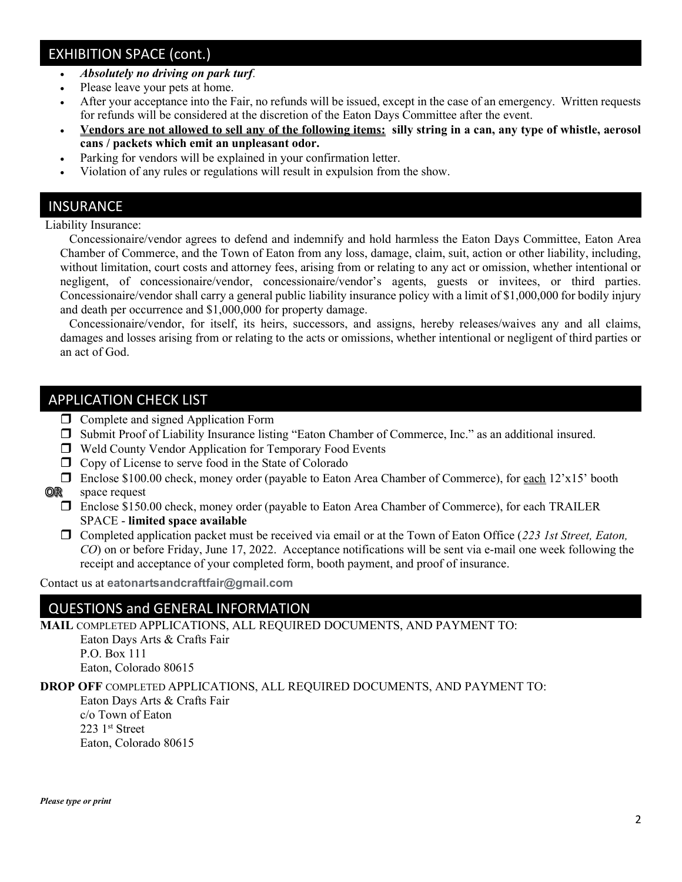## EXHIBITION SPACE (cont.)

- Absolutely no driving on park turf.
- Please leave your pets at home.
- After your acceptance into the Fair, no refunds will be issued, except in the case of an emergency. Written requests for refunds will be considered at the discretion of the Eaton Days Committee after the event.
- Vendors are not allowed to sell any of the following items: silly string in a can, any type of whistle, aerosol cans / packets which emit an unpleasant odor.
- Parking for vendors will be explained in your confirmation letter.
- Violation of any rules or regulations will result in expulsion from the show.

#### **INSURANCE**

Liability Insurance:

 Concessionaire/vendor agrees to defend and indemnify and hold harmless the Eaton Days Committee, Eaton Area Chamber of Commerce, and the Town of Eaton from any loss, damage, claim, suit, action or other liability, including, without limitation, court costs and attorney fees, arising from or relating to any act or omission, whether intentional or negligent, of concessionaire/vendor, concessionaire/vendor's agents, guests or invitees, or third parties. Concessionaire/vendor shall carry a general public liability insurance policy with a limit of \$1,000,000 for bodily injury and death per occurrence and \$1,000,000 for property damage.

 Concessionaire/vendor, for itself, its heirs, successors, and assigns, hereby releases/waives any and all claims, damages and losses arising from or relating to the acts or omissions, whether intentional or negligent of third parties or an act of God.

### APPLICATION CHECK LIST

- $\Box$  Complete and signed Application Form
- Submit Proof of Liability Insurance listing "Eaton Chamber of Commerce, Inc." as an additional insured.
- Weld County Vendor Application for Temporary Food Events
- $\Box$  Copy of License to serve food in the State of Colorado
- Enclose \$100.00 check, money order (payable to Eaton Area Chamber of Commerce), for each 12'x15' booth
- or i space request
	- Enclose \$150.00 check, money order (payable to Eaton Area Chamber of Commerce), for each TRAILER SPACE - limited space available
	- $\Box$  Completed application packet must be received via email or at the Town of Eaton Office (223 1st Street, Eaton, CO) on or before Friday, June 17, 2022. Acceptance notifications will be sent via e-mail one week following the receipt and acceptance of your completed form, booth payment, and proof of insurance.

Contact us at eatonartsandcraftfair@gmail.com

### QUESTIONS and GENERAL INFORMATION

MAIL COMPLETED APPLICATIONS, ALL REQUIRED DOCUMENTS, AND PAYMENT TO:

 Eaton Days Arts & Crafts Fair P.O. Box 111 Eaton, Colorado 80615

DROP OFF COMPLETED APPLICATIONS, ALL REQUIRED DOCUMENTS, AND PAYMENT TO:

 Eaton Days Arts & Crafts Fair c/o Town of Eaton 223 1st Street Eaton, Colorado 80615